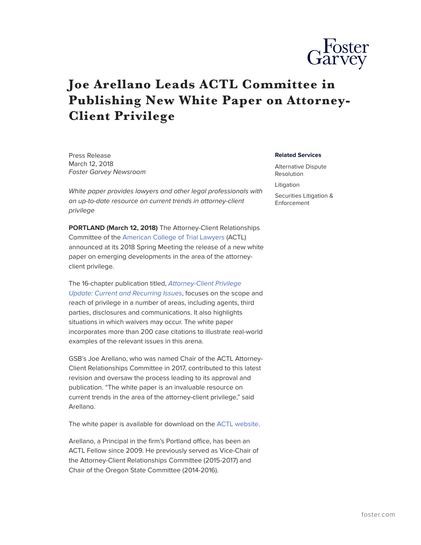

## **Joe Arellano Leads ACTL Committee in Publishing New White Paper on Attorney-Client Privilege**

Press Release March 12, 2018 *Foster Garvey Newsroom*

*White paper provides lawyers and other legal professionals with an up-to-date resource on current trends in attorney-client privilege*

**PORTLAND (March 12, 2018)** The Attorney-Client Relationships Committee of the [American College of Trial Lawyers](https://www.actl.com/) (ACTL) announced at its 2018 Spring Meeting the release of a new white paper on emerging developments in the area of the attorneyclient privilege.

The 16-chapter publication titled, *[Attorney-Client Privilege](https://www.actl.com/docs/default-source/default-document-library/position-statements-and-white-papers/feb-2018---attorney-client-privilege-update_current-recurring-issues.pdf?sfvrsn=4) [Update: Current and Recurring Issues](https://www.actl.com/docs/default-source/default-document-library/position-statements-and-white-papers/feb-2018---attorney-client-privilege-update_current-recurring-issues.pdf?sfvrsn=4)*, focuses on the scope and reach of privilege in a number of areas, including agents, third parties, disclosures and communications. It also highlights situations in which waivers may occur. The white paper incorporates more than 200 case citations to illustrate real-world examples of the relevant issues in this arena.

GSB's Joe Arellano, who was named Chair of the ACTL Attorney-Client Relationships Committee in 2017, contributed to this latest revision and oversaw the process leading to its approval and publication. "The white paper is an invaluable resource on current trends in the area of the attorney-client privilege," said Arellano.

The white paper is available for download on the [ACTL website](https://www.actl.com/home/news-publications/position-statements-white-papers).

Arellano, a Principal in the firm's Portland office, has been an ACTL Fellow since 2009. He previously served as Vice-Chair of the Attorney-Client Relationships Committee (2015-2017) and Chair of the Oregon State Committee (2014-2016).

## **Related Services**

Alternative Dispute Resolution Litigation Securities Litigation & Enforcement